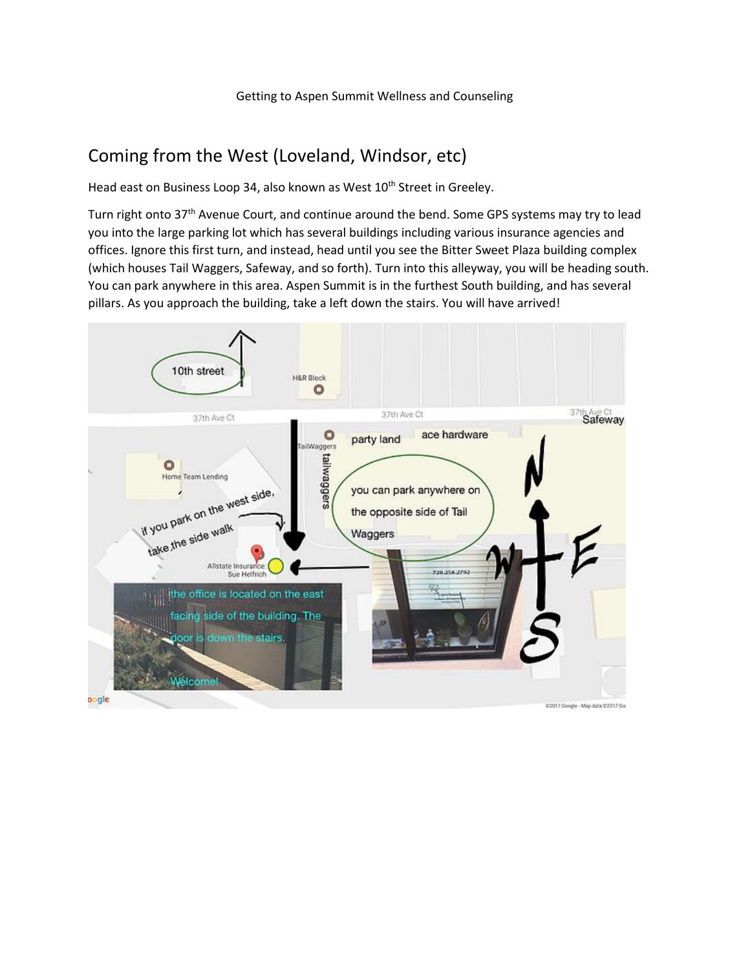## Coming from the West (Loveland, Windsor, etc)

Head east on Business Loop 34, also known as West 10<sup>th</sup> Street in Greeley.

Turn right onto 37<sup>th</sup> Avenue Court, and continue around the bend. Some GPS systems may try to lead you into the large parking lot which has several buildings including various insurance agencies and offices. Ignore this first turn, and instead, head until you see the Bitter Sweet Plaza building complex (which houses Tail Waggers, Safeway, and so forth). Turn into this alleyway, you will be heading south. You can park anywhere in this area. Aspen Summit is in the furthest South building, and has several pillars. As you approach the building, take a left down the stairs. You will have arrived!